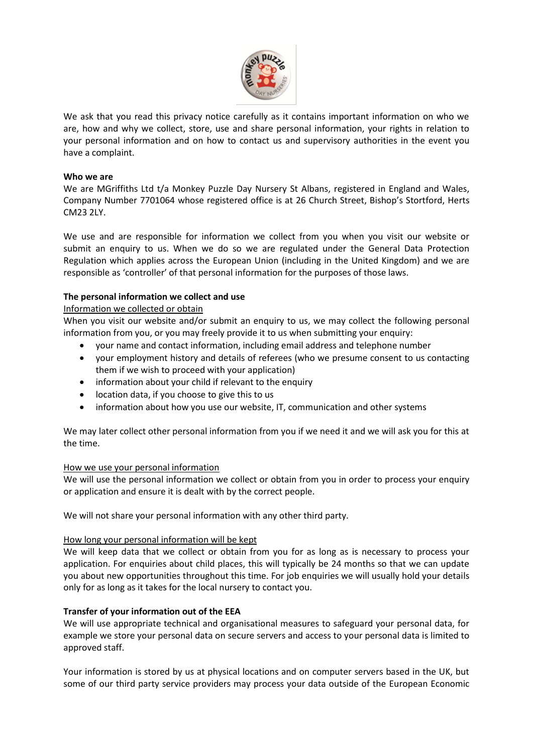

We ask that you read this privacy notice carefully as it contains important information on who we are, how and why we collect, store, use and share personal information, your rights in relation to your personal information and on how to contact us and supervisory authorities in the event you have a complaint.

### **Who we are**

We are MGriffiths Ltd t/a Monkey Puzzle Day Nursery St Albans, registered in England and Wales, Company Number 7701064 whose registered office is at 26 Church Street, Bishop's Stortford, Herts CM23 2LY.

We use and are responsible for information we collect from you when you visit our website or submit an enquiry to us. When we do so we are regulated under the General Data Protection Regulation which applies across the European Union (including in the United Kingdom) and we are responsible as 'controller' of that personal information for the purposes of those laws.

# **The personal information we collect and use**

# Information we collected or obtain

When you visit our website and/or submit an enquiry to us, we may collect the following personal information from you, or you may freely provide it to us when submitting your enquiry:

- your name and contact information, including email address and telephone number
- your employment history and details of referees (who we presume consent to us contacting them if we wish to proceed with your application)
- information about your child if relevant to the enquiry
- location data, if you choose to give this to us
- information about how you use our website, IT, communication and other systems

We may later collect other personal information from you if we need it and we will ask you for this at the time.

# How we use your personal information

We will use the personal information we collect or obtain from you in order to process your enquiry or application and ensure it is dealt with by the correct people.

We will not share your personal information with any other third party.

# How long your personal information will be kept

We will keep data that we collect or obtain from you for as long as is necessary to process your application. For enquiries about child places, this will typically be 24 months so that we can update you about new opportunities throughout this time. For job enquiries we will usually hold your details only for as long as it takes for the local nursery to contact you.

# **Transfer of your information out of the EEA**

We will use appropriate technical and organisational measures to safeguard your personal data, for example we store your personal data on secure servers and access to your personal data is limited to approved staff.

Your information is stored by us at physical locations and on computer servers based in the UK, but some of our third party service providers may process your data outside of the European Economic